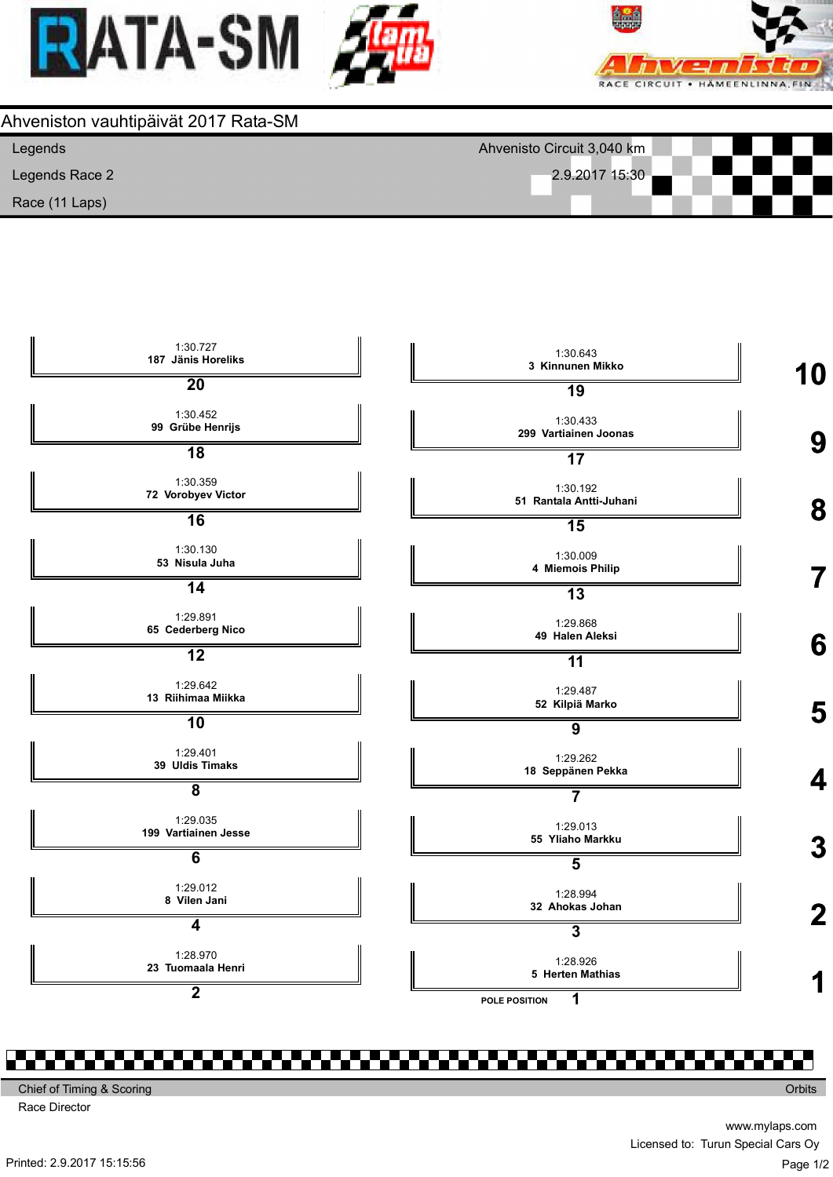







Chief of Timing & Scoring

Race Director

**Orbits** 

Printed: 2.9.2017 15:15:56